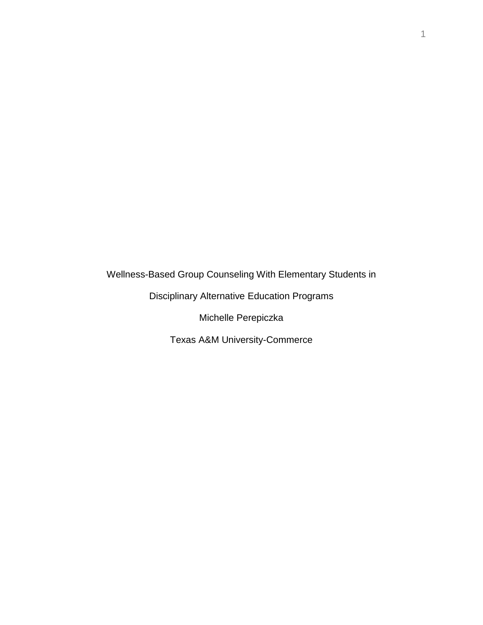Wellness-Based Group Counseling With Elementary Students in

Disciplinary Alternative Education Programs

Michelle Perepiczka

Texas A&M University-Commerce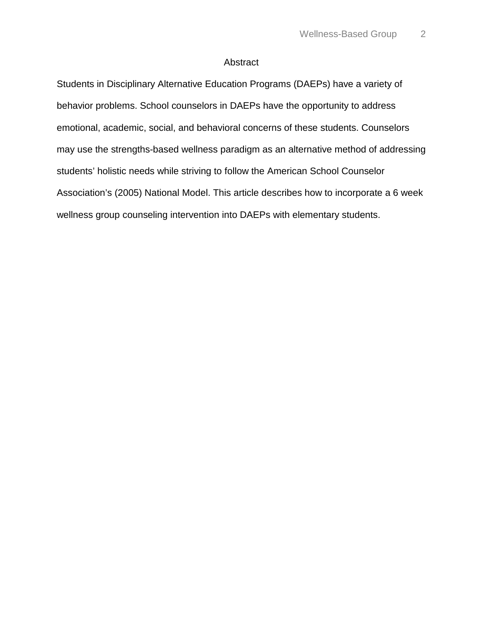# Abstract

Students in Disciplinary Alternative Education Programs (DAEPs) have a variety of behavior problems. School counselors in DAEPs have the opportunity to address emotional, academic, social, and behavioral concerns of these students. Counselors may use the strengths-based wellness paradigm as an alternative method of addressing students' holistic needs while striving to follow the American School Counselor Association's (2005) National Model. This article describes how to incorporate a 6 week wellness group counseling intervention into DAEPs with elementary students.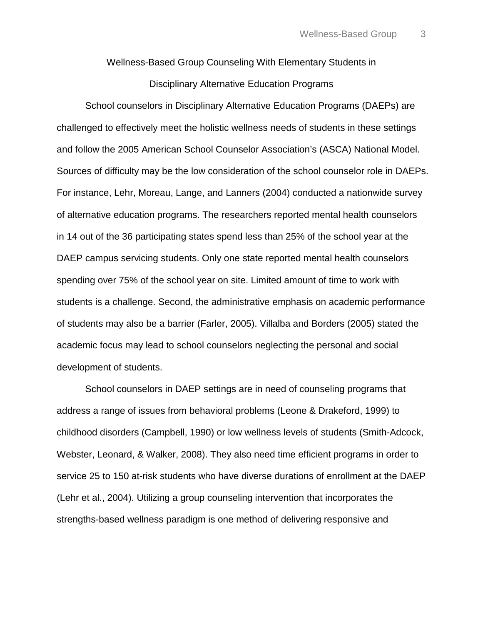Wellness-Based Group Counseling With Elementary Students in

Disciplinary Alternative Education Programs

School counselors in Disciplinary Alternative Education Programs (DAEPs) are challenged to effectively meet the holistic wellness needs of students in these settings and follow the 2005 American School Counselor Association's (ASCA) National Model. Sources of difficulty may be the low consideration of the school counselor role in DAEPs. For instance, Lehr, Moreau, Lange, and Lanners (2004) conducted a nationwide survey of alternative education programs. The researchers reported mental health counselors in 14 out of the 36 participating states spend less than 25% of the school year at the DAEP campus servicing students. Only one state reported mental health counselors spending over 75% of the school year on site. Limited amount of time to work with students is a challenge. Second, the administrative emphasis on academic performance of students may also be a barrier (Farler, 2005). Villalba and Borders (2005) stated the academic focus may lead to school counselors neglecting the personal and social development of students.

School counselors in DAEP settings are in need of counseling programs that address a range of issues from behavioral problems (Leone & Drakeford, 1999) to childhood disorders (Campbell, 1990) or low wellness levels of students (Smith-Adcock, Webster, Leonard, & Walker, 2008). They also need time efficient programs in order to service 25 to 150 at-risk students who have diverse durations of enrollment at the DAEP (Lehr et al., 2004). Utilizing a group counseling intervention that incorporates the strengths-based wellness paradigm is one method of delivering responsive and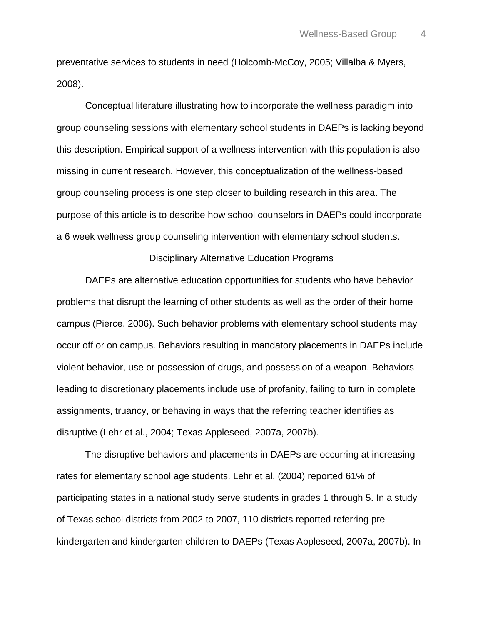preventative services to students in need (Holcomb-McCoy, 2005; Villalba & Myers, 2008).

Conceptual literature illustrating how to incorporate the wellness paradigm into group counseling sessions with elementary school students in DAEPs is lacking beyond this description. Empirical support of a wellness intervention with this population is also missing in current research. However, this conceptualization of the wellness-based group counseling process is one step closer to building research in this area. The purpose of this article is to describe how school counselors in DAEPs could incorporate a 6 week wellness group counseling intervention with elementary school students.

#### Disciplinary Alternative Education Programs

DAEPs are alternative education opportunities for students who have behavior problems that disrupt the learning of other students as well as the order of their home campus (Pierce, 2006). Such behavior problems with elementary school students may occur off or on campus. Behaviors resulting in mandatory placements in DAEPs include violent behavior, use or possession of drugs, and possession of a weapon. Behaviors leading to discretionary placements include use of profanity, failing to turn in complete assignments, truancy, or behaving in ways that the referring teacher identifies as disruptive (Lehr et al., 2004; Texas Appleseed, 2007a, 2007b).

The disruptive behaviors and placements in DAEPs are occurring at increasing rates for elementary school age students. Lehr et al. (2004) reported 61% of participating states in a national study serve students in grades 1 through 5. In a study of Texas school districts from 2002 to 2007, 110 districts reported referring prekindergarten and kindergarten children to DAEPs (Texas Appleseed, 2007a, 2007b). In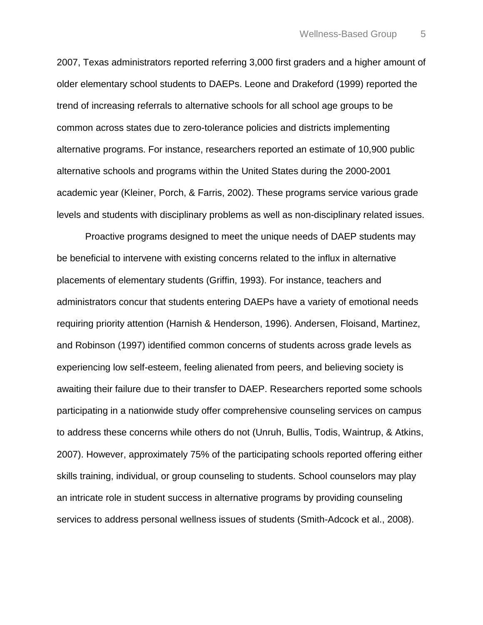2007, Texas administrators reported referring 3,000 first graders and a higher amount of older elementary school students to DAEPs. Leone and Drakeford (1999) reported the trend of increasing referrals to alternative schools for all school age groups to be common across states due to zero-tolerance policies and districts implementing alternative programs. For instance, researchers reported an estimate of 10,900 public alternative schools and programs within the United States during the 2000-2001 academic year (Kleiner, Porch, & Farris, 2002). These programs service various grade levels and students with disciplinary problems as well as non-disciplinary related issues.

Proactive programs designed to meet the unique needs of DAEP students may be beneficial to intervene with existing concerns related to the influx in alternative placements of elementary students (Griffin, 1993). For instance, teachers and administrators concur that students entering DAEPs have a variety of emotional needs requiring priority attention (Harnish & Henderson, 1996). Andersen, Floisand, Martinez, and Robinson (1997) identified common concerns of students across grade levels as experiencing low self-esteem, feeling alienated from peers, and believing society is awaiting their failure due to their transfer to DAEP. Researchers reported some schools participating in a nationwide study offer comprehensive counseling services on campus to address these concerns while others do not (Unruh, Bullis, Todis, Waintrup, & Atkins, 2007). However, approximately 75% of the participating schools reported offering either skills training, individual, or group counseling to students. School counselors may play an intricate role in student success in alternative programs by providing counseling services to address personal wellness issues of students (Smith-Adcock et al., 2008).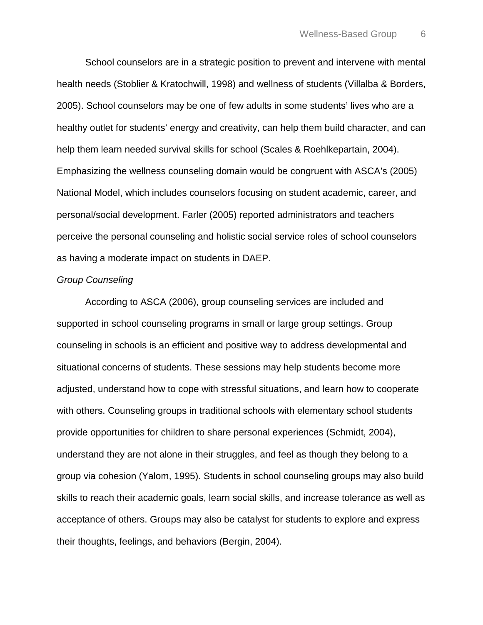School counselors are in a strategic position to prevent and intervene with mental health needs (Stoblier & Kratochwill, 1998) and wellness of students (Villalba & Borders, 2005). School counselors may be one of few adults in some students' lives who are a healthy outlet for students' energy and creativity, can help them build character, and can help them learn needed survival skills for school (Scales & Roehlkepartain, 2004). Emphasizing the wellness counseling domain would be congruent with ASCA's (2005) National Model, which includes counselors focusing on student academic, career, and personal/social development. Farler (2005) reported administrators and teachers perceive the personal counseling and holistic social service roles of school counselors as having a moderate impact on students in DAEP.

## *Group Counseling*

According to ASCA (2006), group counseling services are included and supported in school counseling programs in small or large group settings. Group counseling in schools is an efficient and positive way to address developmental and situational concerns of students. These sessions may help students become more adjusted, understand how to cope with stressful situations, and learn how to cooperate with others. Counseling groups in traditional schools with elementary school students provide opportunities for children to share personal experiences (Schmidt, 2004), understand they are not alone in their struggles, and feel as though they belong to a group via cohesion (Yalom, 1995). Students in school counseling groups may also build skills to reach their academic goals, learn social skills, and increase tolerance as well as acceptance of others. Groups may also be catalyst for students to explore and express their thoughts, feelings, and behaviors (Bergin, 2004).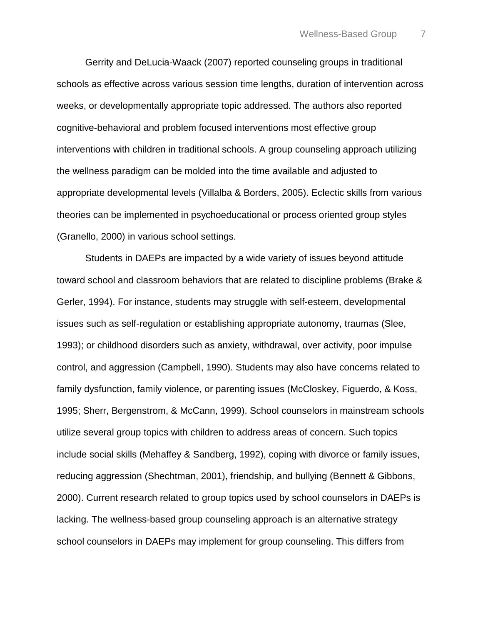Gerrity and DeLucia-Waack (2007) reported counseling groups in traditional schools as effective across various session time lengths, duration of intervention across weeks, or developmentally appropriate topic addressed. The authors also reported cognitive-behavioral and problem focused interventions most effective group interventions with children in traditional schools. A group counseling approach utilizing the wellness paradigm can be molded into the time available and adjusted to appropriate developmental levels (Villalba & Borders, 2005). Eclectic skills from various theories can be implemented in psychoeducational or process oriented group styles (Granello, 2000) in various school settings.

Students in DAEPs are impacted by a wide variety of issues beyond attitude toward school and classroom behaviors that are related to discipline problems (Brake & Gerler, 1994). For instance, students may struggle with self-esteem, developmental issues such as self-regulation or establishing appropriate autonomy, traumas (Slee, 1993); or childhood disorders such as anxiety, withdrawal, over activity, poor impulse control, and aggression (Campbell, 1990). Students may also have concerns related to family dysfunction, family violence, or parenting issues (McCloskey, Figuerdo, & Koss, 1995; Sherr, Bergenstrom, & McCann, 1999). School counselors in mainstream schools utilize several group topics with children to address areas of concern. Such topics include social skills (Mehaffey & Sandberg, 1992), coping with divorce or family issues, reducing aggression (Shechtman, 2001), friendship, and bullying (Bennett & Gibbons, 2000). Current research related to group topics used by school counselors in DAEPs is lacking. The wellness-based group counseling approach is an alternative strategy school counselors in DAEPs may implement for group counseling. This differs from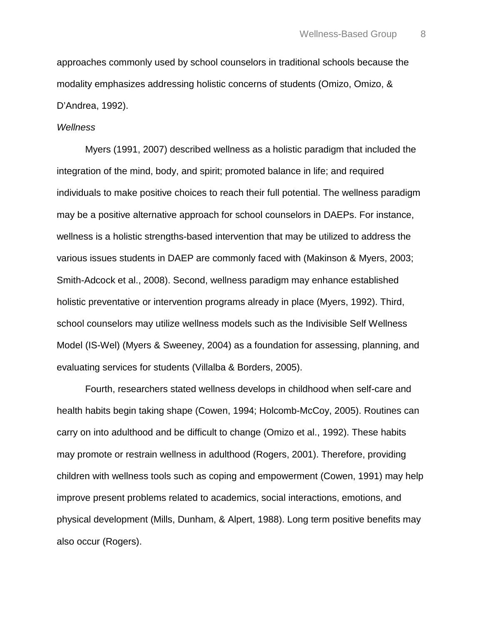approaches commonly used by school counselors in traditional schools because the modality emphasizes addressing holistic concerns of students (Omizo, Omizo, & D'Andrea, 1992).

## *Wellness*

Myers (1991, 2007) described wellness as a holistic paradigm that included the integration of the mind, body, and spirit; promoted balance in life; and required individuals to make positive choices to reach their full potential. The wellness paradigm may be a positive alternative approach for school counselors in DAEPs. For instance, wellness is a holistic strengths-based intervention that may be utilized to address the various issues students in DAEP are commonly faced with (Makinson & Myers, 2003; Smith-Adcock et al., 2008). Second, wellness paradigm may enhance established holistic preventative or intervention programs already in place (Myers, 1992). Third, school counselors may utilize wellness models such as the Indivisible Self Wellness Model (IS-Wel) (Myers & Sweeney, 2004) as a foundation for assessing, planning, and evaluating services for students (Villalba & Borders, 2005).

Fourth, researchers stated wellness develops in childhood when self-care and health habits begin taking shape (Cowen, 1994; Holcomb-McCoy, 2005). Routines can carry on into adulthood and be difficult to change (Omizo et al., 1992). These habits may promote or restrain wellness in adulthood (Rogers, 2001). Therefore, providing children with wellness tools such as coping and empowerment (Cowen, 1991) may help improve present problems related to academics, social interactions, emotions, and physical development (Mills, Dunham, & Alpert, 1988). Long term positive benefits may also occur (Rogers).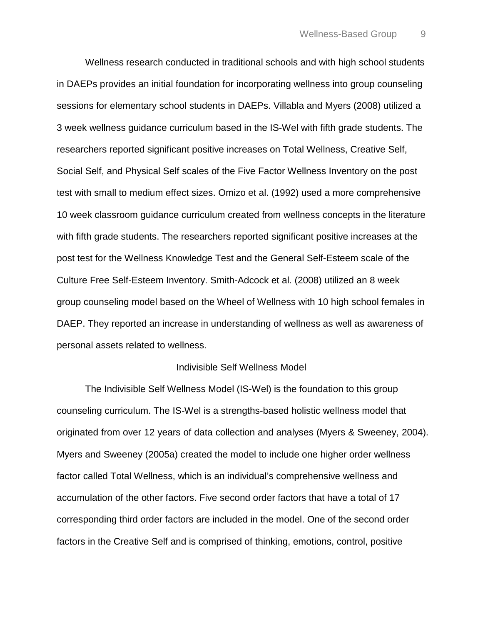Wellness research conducted in traditional schools and with high school students in DAEPs provides an initial foundation for incorporating wellness into group counseling sessions for elementary school students in DAEPs. Villabla and Myers (2008) utilized a 3 week wellness guidance curriculum based in the IS-Wel with fifth grade students. The researchers reported significant positive increases on Total Wellness, Creative Self, Social Self, and Physical Self scales of the Five Factor Wellness Inventory on the post test with small to medium effect sizes. Omizo et al. (1992) used a more comprehensive 10 week classroom guidance curriculum created from wellness concepts in the literature with fifth grade students. The researchers reported significant positive increases at the post test for the Wellness Knowledge Test and the General Self-Esteem scale of the Culture Free Self-Esteem Inventory. Smith-Adcock et al. (2008) utilized an 8 week group counseling model based on the Wheel of Wellness with 10 high school females in DAEP. They reported an increase in understanding of wellness as well as awareness of personal assets related to wellness.

#### Indivisible Self Wellness Model

The Indivisible Self Wellness Model (IS-Wel) is the foundation to this group counseling curriculum. The IS-Wel is a strengths-based holistic wellness model that originated from over 12 years of data collection and analyses (Myers & Sweeney, 2004). Myers and Sweeney (2005a) created the model to include one higher order wellness factor called Total Wellness, which is an individual's comprehensive wellness and accumulation of the other factors. Five second order factors that have a total of 17 corresponding third order factors are included in the model. One of the second order factors in the Creative Self and is comprised of thinking, emotions, control, positive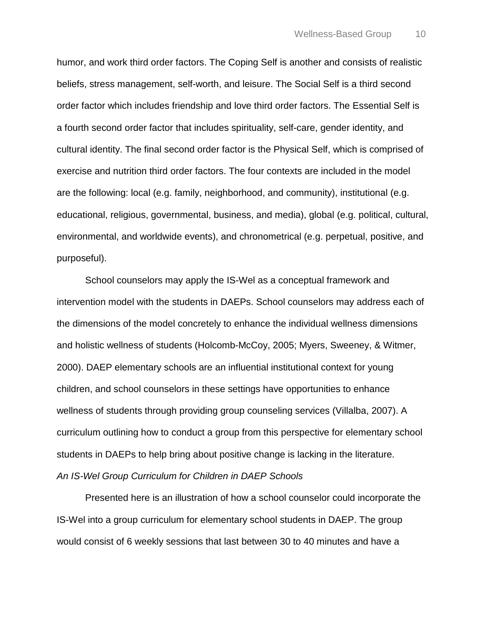humor, and work third order factors. The Coping Self is another and consists of realistic beliefs, stress management, self-worth, and leisure. The Social Self is a third second order factor which includes friendship and love third order factors. The Essential Self is a fourth second order factor that includes spirituality, self-care, gender identity, and cultural identity. The final second order factor is the Physical Self, which is comprised of exercise and nutrition third order factors. The four contexts are included in the model are the following: local (e.g. family, neighborhood, and community), institutional (e.g. educational, religious, governmental, business, and media), global (e.g. political, cultural, environmental, and worldwide events), and chronometrical (e.g. perpetual, positive, and purposeful).

School counselors may apply the IS-Wel as a conceptual framework and intervention model with the students in DAEPs. School counselors may address each of the dimensions of the model concretely to enhance the individual wellness dimensions and holistic wellness of students (Holcomb-McCoy, 2005; Myers, Sweeney, & Witmer, 2000). DAEP elementary schools are an influential institutional context for young children, and school counselors in these settings have opportunities to enhance wellness of students through providing group counseling services (Villalba, 2007). A curriculum outlining how to conduct a group from this perspective for elementary school students in DAEPs to help bring about positive change is lacking in the literature. *An IS-Wel Group Curriculum for Children in DAEP Schools*

Presented here is an illustration of how a school counselor could incorporate the IS-Wel into a group curriculum for elementary school students in DAEP. The group would consist of 6 weekly sessions that last between 30 to 40 minutes and have a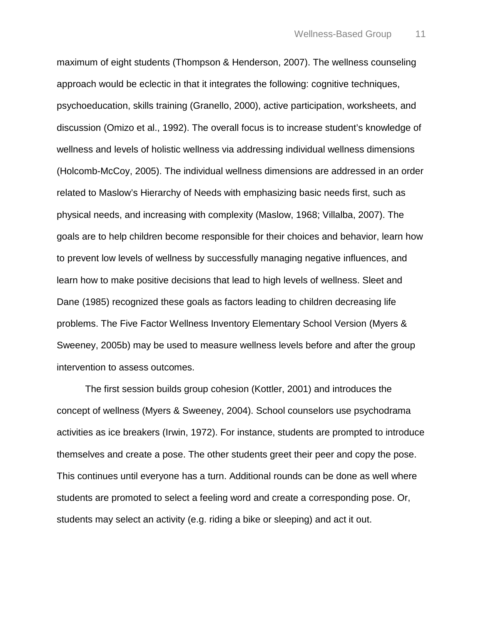maximum of eight students (Thompson & Henderson, 2007). The wellness counseling approach would be eclectic in that it integrates the following: cognitive techniques, psychoeducation, skills training (Granello, 2000), active participation, worksheets, and discussion (Omizo et al., 1992). The overall focus is to increase student's knowledge of wellness and levels of holistic wellness via addressing individual wellness dimensions (Holcomb-McCoy, 2005). The individual wellness dimensions are addressed in an order related to Maslow's Hierarchy of Needs with emphasizing basic needs first, such as physical needs, and increasing with complexity (Maslow, 1968; Villalba, 2007). The goals are to help children become responsible for their choices and behavior, learn how to prevent low levels of wellness by successfully managing negative influences, and learn how to make positive decisions that lead to high levels of wellness. Sleet and Dane (1985) recognized these goals as factors leading to children decreasing life problems. The Five Factor Wellness Inventory Elementary School Version (Myers & Sweeney, 2005b) may be used to measure wellness levels before and after the group intervention to assess outcomes.

The first session builds group cohesion (Kottler, 2001) and introduces the concept of wellness (Myers & Sweeney, 2004). School counselors use psychodrama activities as ice breakers (Irwin, 1972). For instance, students are prompted to introduce themselves and create a pose. The other students greet their peer and copy the pose. This continues until everyone has a turn. Additional rounds can be done as well where students are promoted to select a feeling word and create a corresponding pose. Or, students may select an activity (e.g. riding a bike or sleeping) and act it out.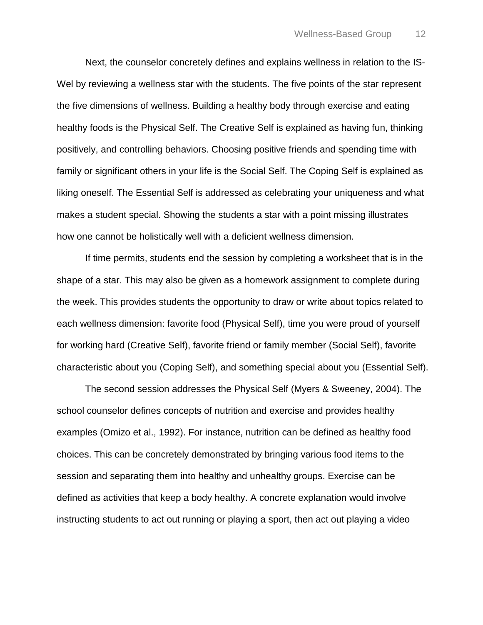Next, the counselor concretely defines and explains wellness in relation to the IS-Wel by reviewing a wellness star with the students. The five points of the star represent the five dimensions of wellness. Building a healthy body through exercise and eating healthy foods is the Physical Self. The Creative Self is explained as having fun, thinking positively, and controlling behaviors. Choosing positive friends and spending time with family or significant others in your life is the Social Self. The Coping Self is explained as liking oneself. The Essential Self is addressed as celebrating your uniqueness and what makes a student special. Showing the students a star with a point missing illustrates how one cannot be holistically well with a deficient wellness dimension.

If time permits, students end the session by completing a worksheet that is in the shape of a star. This may also be given as a homework assignment to complete during the week. This provides students the opportunity to draw or write about topics related to each wellness dimension: favorite food (Physical Self), time you were proud of yourself for working hard (Creative Self), favorite friend or family member (Social Self), favorite characteristic about you (Coping Self), and something special about you (Essential Self).

The second session addresses the Physical Self (Myers & Sweeney, 2004). The school counselor defines concepts of nutrition and exercise and provides healthy examples (Omizo et al., 1992). For instance, nutrition can be defined as healthy food choices. This can be concretely demonstrated by bringing various food items to the session and separating them into healthy and unhealthy groups. Exercise can be defined as activities that keep a body healthy. A concrete explanation would involve instructing students to act out running or playing a sport, then act out playing a video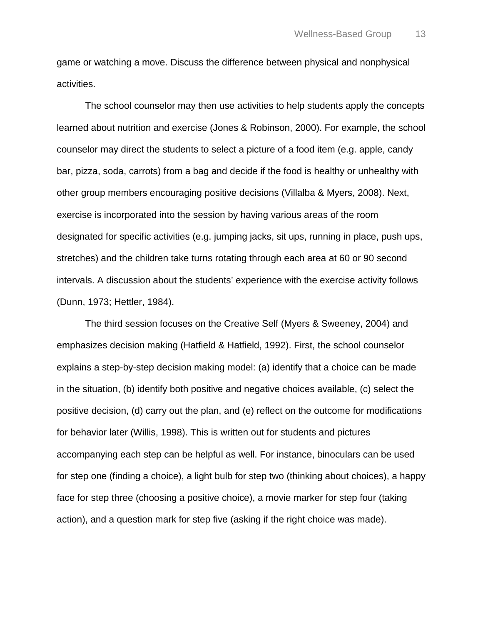game or watching a move. Discuss the difference between physical and nonphysical activities.

The school counselor may then use activities to help students apply the concepts learned about nutrition and exercise (Jones & Robinson, 2000). For example, the school counselor may direct the students to select a picture of a food item (e.g. apple, candy bar, pizza, soda, carrots) from a bag and decide if the food is healthy or unhealthy with other group members encouraging positive decisions (Villalba & Myers, 2008). Next, exercise is incorporated into the session by having various areas of the room designated for specific activities (e.g. jumping jacks, sit ups, running in place, push ups, stretches) and the children take turns rotating through each area at 60 or 90 second intervals. A discussion about the students' experience with the exercise activity follows (Dunn, 1973; Hettler, 1984).

The third session focuses on the Creative Self (Myers & Sweeney, 2004) and emphasizes decision making (Hatfield & Hatfield, 1992). First, the school counselor explains a step-by-step decision making model: (a) identify that a choice can be made in the situation, (b) identify both positive and negative choices available, (c) select the positive decision, (d) carry out the plan, and (e) reflect on the outcome for modifications for behavior later (Willis, 1998). This is written out for students and pictures accompanying each step can be helpful as well. For instance, binoculars can be used for step one (finding a choice), a light bulb for step two (thinking about choices), a happy face for step three (choosing a positive choice), a movie marker for step four (taking action), and a question mark for step five (asking if the right choice was made).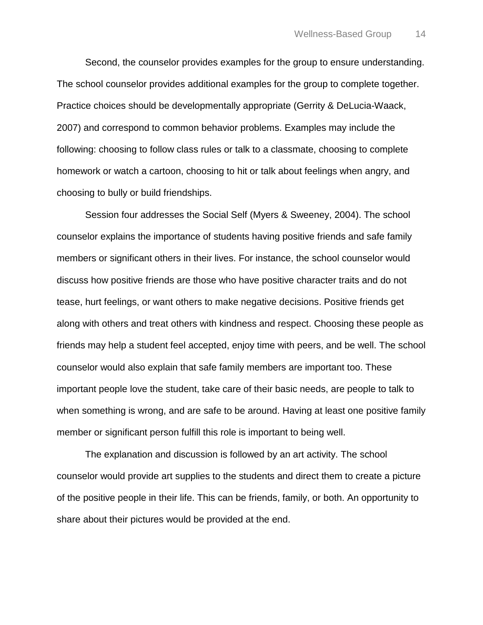Second, the counselor provides examples for the group to ensure understanding. The school counselor provides additional examples for the group to complete together. Practice choices should be developmentally appropriate (Gerrity & DeLucia-Waack, 2007) and correspond to common behavior problems. Examples may include the following: choosing to follow class rules or talk to a classmate, choosing to complete homework or watch a cartoon, choosing to hit or talk about feelings when angry, and choosing to bully or build friendships.

Session four addresses the Social Self (Myers & Sweeney, 2004). The school counselor explains the importance of students having positive friends and safe family members or significant others in their lives. For instance, the school counselor would discuss how positive friends are those who have positive character traits and do not tease, hurt feelings, or want others to make negative decisions. Positive friends get along with others and treat others with kindness and respect. Choosing these people as friends may help a student feel accepted, enjoy time with peers, and be well. The school counselor would also explain that safe family members are important too. These important people love the student, take care of their basic needs, are people to talk to when something is wrong, and are safe to be around. Having at least one positive family member or significant person fulfill this role is important to being well.

The explanation and discussion is followed by an art activity. The school counselor would provide art supplies to the students and direct them to create a picture of the positive people in their life. This can be friends, family, or both. An opportunity to share about their pictures would be provided at the end.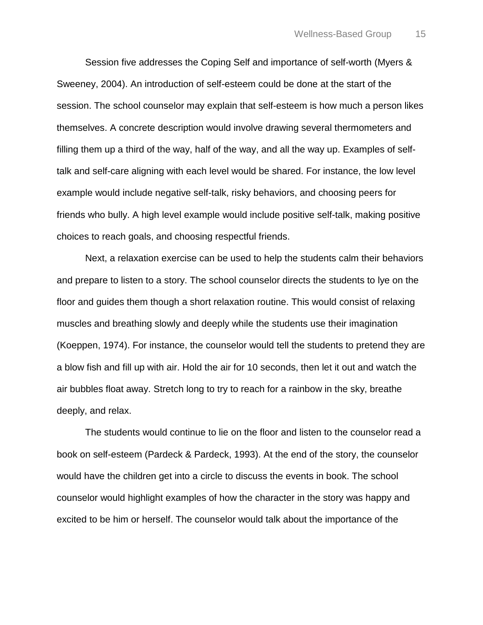Session five addresses the Coping Self and importance of self-worth (Myers & Sweeney, 2004). An introduction of self-esteem could be done at the start of the session. The school counselor may explain that self-esteem is how much a person likes themselves. A concrete description would involve drawing several thermometers and filling them up a third of the way, half of the way, and all the way up. Examples of selftalk and self-care aligning with each level would be shared. For instance, the low level example would include negative self-talk, risky behaviors, and choosing peers for friends who bully. A high level example would include positive self-talk, making positive choices to reach goals, and choosing respectful friends.

Next, a relaxation exercise can be used to help the students calm their behaviors and prepare to listen to a story. The school counselor directs the students to lye on the floor and guides them though a short relaxation routine. This would consist of relaxing muscles and breathing slowly and deeply while the students use their imagination (Koeppen, 1974). For instance, the counselor would tell the students to pretend they are a blow fish and fill up with air. Hold the air for 10 seconds, then let it out and watch the air bubbles float away. Stretch long to try to reach for a rainbow in the sky, breathe deeply, and relax.

The students would continue to lie on the floor and listen to the counselor read a book on self-esteem (Pardeck & Pardeck, 1993). At the end of the story, the counselor would have the children get into a circle to discuss the events in book. The school counselor would highlight examples of how the character in the story was happy and excited to be him or herself. The counselor would talk about the importance of the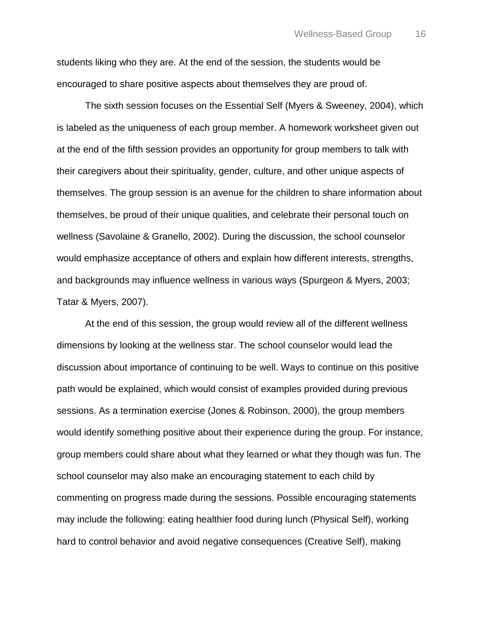students liking who they are. At the end of the session, the students would be encouraged to share positive aspects about themselves they are proud of.

The sixth session focuses on the Essential Self (Myers & Sweeney, 2004), which is labeled as the uniqueness of each group member. A homework worksheet given out at the end of the fifth session provides an opportunity for group members to talk with their caregivers about their spirituality, gender, culture, and other unique aspects of themselves. The group session is an avenue for the children to share information about themselves, be proud of their unique qualities, and celebrate their personal touch on wellness (Savolaine & Granello, 2002). During the discussion, the school counselor would emphasize acceptance of others and explain how different interests, strengths, and backgrounds may influence wellness in various ways (Spurgeon & Myers, 2003; Tatar & Myers, 2007).

At the end of this session, the group would review all of the different wellness dimensions by looking at the wellness star. The school counselor would lead the discussion about importance of continuing to be well. Ways to continue on this positive path would be explained, which would consist of examples provided during previous sessions. As a termination exercise (Jones & Robinson, 2000), the group members would identify something positive about their experience during the group. For instance, group members could share about what they learned or what they though was fun. The school counselor may also make an encouraging statement to each child by commenting on progress made during the sessions. Possible encouraging statements may include the following: eating healthier food during lunch (Physical Self), working hard to control behavior and avoid negative consequences (Creative Self), making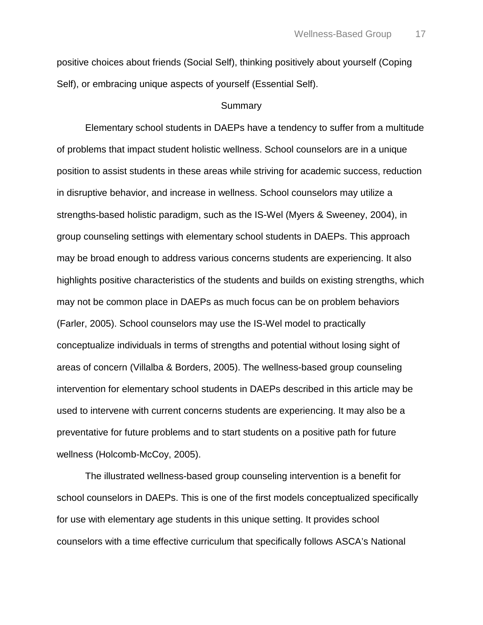positive choices about friends (Social Self), thinking positively about yourself (Coping Self), or embracing unique aspects of yourself (Essential Self).

# Summary

Elementary school students in DAEPs have a tendency to suffer from a multitude of problems that impact student holistic wellness. School counselors are in a unique position to assist students in these areas while striving for academic success, reduction in disruptive behavior, and increase in wellness. School counselors may utilize a strengths-based holistic paradigm, such as the IS-Wel (Myers & Sweeney, 2004), in group counseling settings with elementary school students in DAEPs. This approach may be broad enough to address various concerns students are experiencing. It also highlights positive characteristics of the students and builds on existing strengths, which may not be common place in DAEPs as much focus can be on problem behaviors (Farler, 2005). School counselors may use the IS-Wel model to practically conceptualize individuals in terms of strengths and potential without losing sight of areas of concern (Villalba & Borders, 2005). The wellness-based group counseling intervention for elementary school students in DAEPs described in this article may be used to intervene with current concerns students are experiencing. It may also be a preventative for future problems and to start students on a positive path for future wellness (Holcomb-McCoy, 2005).

The illustrated wellness-based group counseling intervention is a benefit for school counselors in DAEPs. This is one of the first models conceptualized specifically for use with elementary age students in this unique setting. It provides school counselors with a time effective curriculum that specifically follows ASCA's National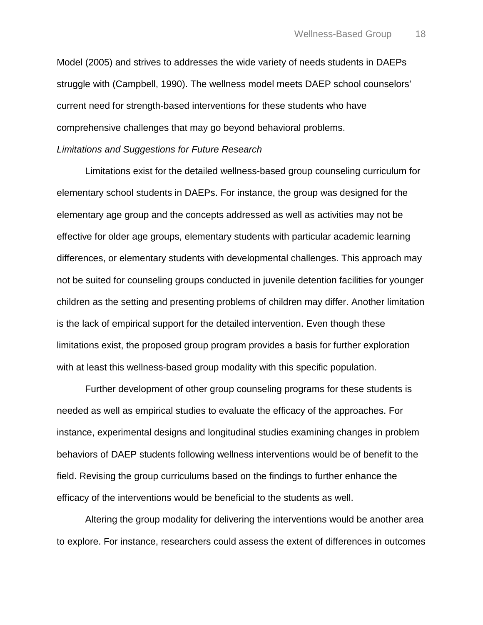Model (2005) and strives to addresses the wide variety of needs students in DAEPs struggle with (Campbell, 1990). The wellness model meets DAEP school counselors' current need for strength-based interventions for these students who have comprehensive challenges that may go beyond behavioral problems. *Limitations and Suggestions for Future Research*

Limitations exist for the detailed wellness-based group counseling curriculum for elementary school students in DAEPs. For instance, the group was designed for the elementary age group and the concepts addressed as well as activities may not be effective for older age groups, elementary students with particular academic learning differences, or elementary students with developmental challenges. This approach may not be suited for counseling groups conducted in juvenile detention facilities for younger children as the setting and presenting problems of children may differ. Another limitation is the lack of empirical support for the detailed intervention. Even though these limitations exist, the proposed group program provides a basis for further exploration with at least this wellness-based group modality with this specific population.

Further development of other group counseling programs for these students is needed as well as empirical studies to evaluate the efficacy of the approaches. For instance, experimental designs and longitudinal studies examining changes in problem behaviors of DAEP students following wellness interventions would be of benefit to the field. Revising the group curriculums based on the findings to further enhance the efficacy of the interventions would be beneficial to the students as well.

Altering the group modality for delivering the interventions would be another area to explore. For instance, researchers could assess the extent of differences in outcomes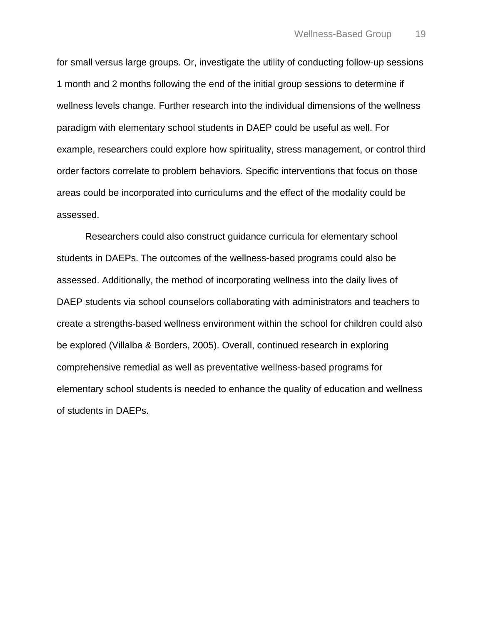for small versus large groups. Or, investigate the utility of conducting follow-up sessions 1 month and 2 months following the end of the initial group sessions to determine if wellness levels change. Further research into the individual dimensions of the wellness paradigm with elementary school students in DAEP could be useful as well. For example, researchers could explore how spirituality, stress management, or control third order factors correlate to problem behaviors. Specific interventions that focus on those areas could be incorporated into curriculums and the effect of the modality could be assessed.

Researchers could also construct guidance curricula for elementary school students in DAEPs. The outcomes of the wellness-based programs could also be assessed. Additionally, the method of incorporating wellness into the daily lives of DAEP students via school counselors collaborating with administrators and teachers to create a strengths-based wellness environment within the school for children could also be explored (Villalba & Borders, 2005). Overall, continued research in exploring comprehensive remedial as well as preventative wellness-based programs for elementary school students is needed to enhance the quality of education and wellness of students in DAEPs.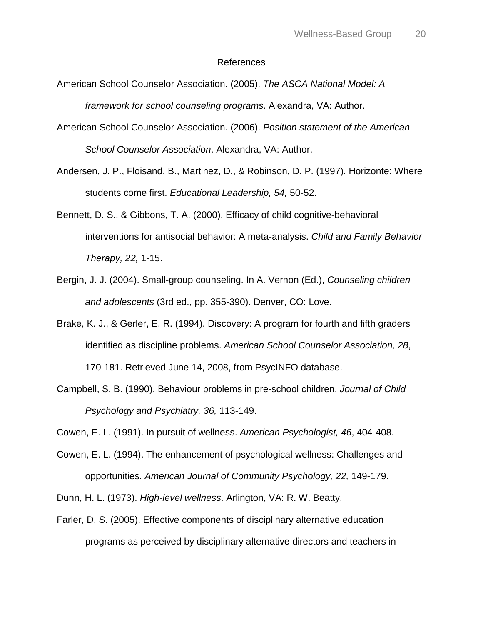#### References

- American School Counselor Association. (2005). *The ASCA National Model: A framework for school counseling programs*. Alexandra, VA: Author.
- American School Counselor Association. (2006). *Position statement of the American School Counselor Association*. Alexandra, VA: Author.
- Andersen, J. P., Floisand, B., Martinez, D., & Robinson, D. P. (1997). Horizonte: Where students come first. *Educational Leadership, 54,* 50-52.
- Bennett, D. S., & Gibbons, T. A. (2000). Efficacy of child cognitive-behavioral interventions for antisocial behavior: A meta-analysis. *Child and Family Behavior Therapy, 22,* 1-15.
- Bergin, J. J. (2004). Small-group counseling. In A. Vernon (Ed.), *Counseling children and adolescents* (3rd ed., pp. 355-390). Denver, CO: Love.
- Brake, K. J., & Gerler, E. R. (1994). Discovery: A program for fourth and fifth graders identified as discipline problems. *American School Counselor Association, 28*, 170-181. Retrieved June 14, 2008, from PsycINFO database.
- Campbell, S. B. (1990). Behaviour problems in pre-school children. *Journal of Child Psychology and Psychiatry, 36,* 113-149.
- Cowen, E. L. (1991). In pursuit of wellness. *American Psychologist, 46*, 404-408.
- Cowen, E. L. (1994). The enhancement of psychological wellness: Challenges and opportunities. *American Journal of Community Psychology, 22,* 149-179.
- Dunn, H. L. (1973). *High-level wellness*. Arlington, VA: R. W. Beatty.
- Farler, D. S. (2005). Effective components of disciplinary alternative education programs as perceived by disciplinary alternative directors and teachers in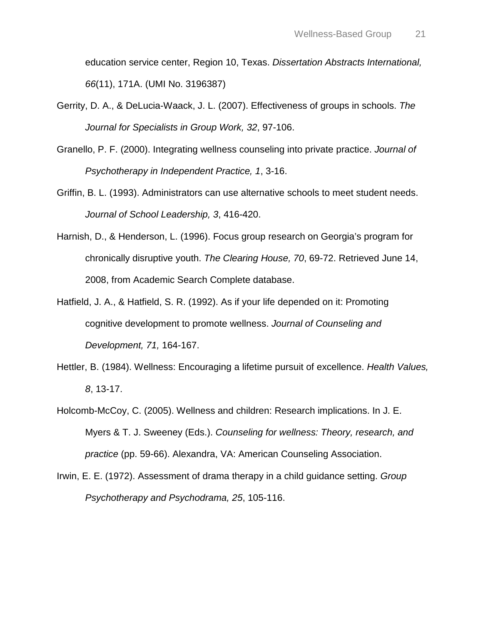education service center, Region 10, Texas. *Dissertation Abstracts International, 66*(11), 171A. (UMI No. 3196387)

- Gerrity, D. A., & DeLucia-Waack, J. L. (2007). Effectiveness of groups in schools. *The Journal for Specialists in Group Work, 32*, 97-106.
- Granello, P. F. (2000). Integrating wellness counseling into private practice. *Journal of Psychotherapy in Independent Practice, 1*, 3-16.
- Griffin, B. L. (1993). Administrators can use alternative schools to meet student needs. *Journal of School Leadership, 3*, 416-420.
- Harnish, D., & Henderson, L. (1996). Focus group research on Georgia's program for chronically disruptive youth. *The Clearing House, 70*, 69-72. Retrieved June 14, 2008, from Academic Search Complete database.
- Hatfield, J. A., & Hatfield, S. R. (1992). As if your life depended on it: Promoting cognitive development to promote wellness. *Journal of Counseling and Development, 71,* 164-167.
- Hettler, B. (1984). Wellness: Encouraging a lifetime pursuit of excellence. *Health Values, 8*, 13-17.
- Holcomb-McCoy, C. (2005). Wellness and children: Research implications. In J. E. Myers & T. J. Sweeney (Eds.). *Counseling for wellness: Theory, research, and practice* (pp. 59-66). Alexandra, VA: American Counseling Association.
- Irwin, E. E. (1972). Assessment of drama therapy in a child guidance setting. *Group Psychotherapy and Psychodrama, 25*, 105-116.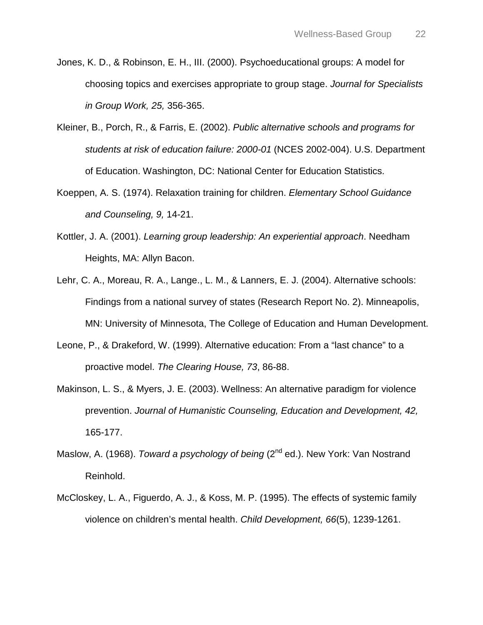- Jones, K. D., & Robinson, E. H., III. (2000). Psychoeducational groups: A model for choosing topics and exercises appropriate to group stage. *Journal for Specialists in Group Work, 25,* 356-365.
- Kleiner, B., Porch, R., & Farris, E. (2002). *Public alternative schools and programs for students at risk of education failure: 2000-01* (NCES 2002-004). U.S. Department of Education. Washington, DC: National Center for Education Statistics.
- Koeppen, A. S. (1974). Relaxation training for children. *Elementary School Guidance and Counseling, 9,* 14-21.
- Kottler, J. A. (2001). *Learning group leadership: An experiential approach*. Needham Heights, MA: Allyn Bacon.
- Lehr, C. A., Moreau, R. A., Lange., L. M., & Lanners, E. J. (2004). Alternative schools: Findings from a national survey of states (Research Report No. 2). Minneapolis, MN: University of Minnesota, The College of Education and Human Development.
- Leone, P., & Drakeford, W. (1999). Alternative education: From a "last chance" to a proactive model. *The Clearing House, 73*, 86-88.
- Makinson, L. S., & Myers, J. E. (2003). Wellness: An alternative paradigm for violence prevention. *Journal of Humanistic Counseling, Education and Development, 42,*  165-177.
- Maslow, A. (1968). *Toward a psychology of being* (2<sup>nd</sup> ed.). New York: Van Nostrand Reinhold.
- McCloskey, L. A., Figuerdo, A. J., & Koss, M. P. (1995). The effects of systemic family violence on children's mental health. *Child Development, 66*(5), 1239-1261.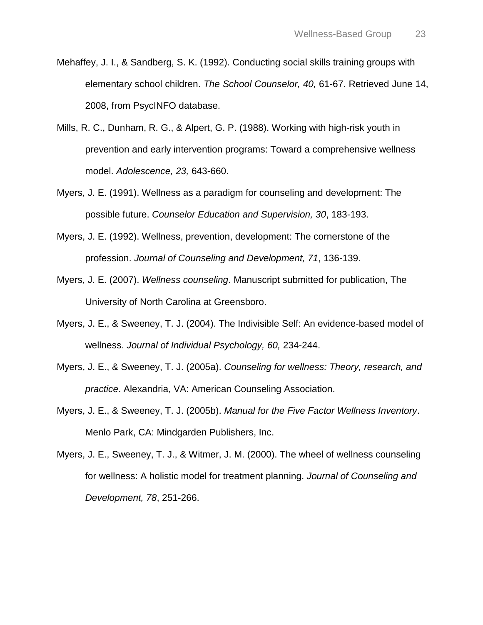- Mehaffey, J. I., & Sandberg, S. K. (1992). Conducting social skills training groups with elementary school children. *The School Counselor, 40,* 61-67. Retrieved June 14, 2008, from PsycINFO database.
- Mills, R. C., Dunham, R. G., & Alpert, G. P. (1988). Working with high-risk youth in prevention and early intervention programs: Toward a comprehensive wellness model. *Adolescence, 23,* 643-660.
- Myers, J. E. (1991). Wellness as a paradigm for counseling and development: The possible future. *Counselor Education and Supervision, 30*, 183-193.
- Myers, J. E. (1992). Wellness, prevention, development: The cornerstone of the profession. *Journal of Counseling and Development, 71*, 136-139.
- Myers, J. E. (2007). *Wellness counseling*. Manuscript submitted for publication, The University of North Carolina at Greensboro.
- Myers, J. E., & Sweeney, T. J. (2004). The Indivisible Self: An evidence-based model of wellness. *Journal of Individual Psychology, 60,* 234-244.
- Myers, J. E., & Sweeney, T. J. (2005a). *Counseling for wellness: Theory, research, and practice*. Alexandria, VA: American Counseling Association.
- Myers, J. E., & Sweeney, T. J. (2005b). *Manual for the Five Factor Wellness Inventory*. Menlo Park, CA: Mindgarden Publishers, Inc.
- Myers, J. E., Sweeney, T. J., & Witmer, J. M. (2000). The wheel of wellness counseling for wellness: A holistic model for treatment planning. *Journal of Counseling and Development, 78*, 251-266.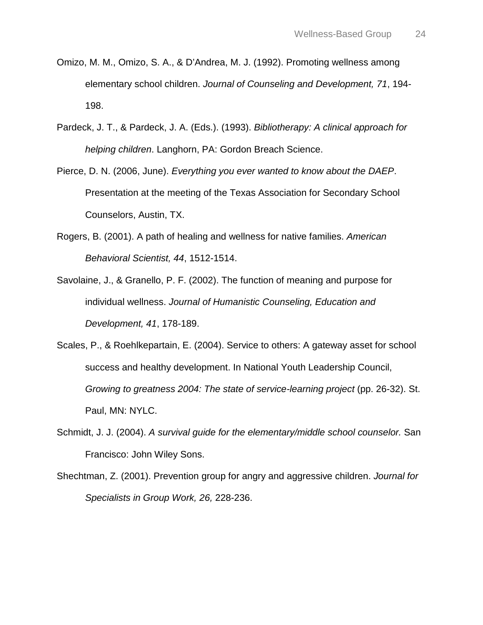- Omizo, M. M., Omizo, S. A., & D'Andrea, M. J. (1992). Promoting wellness among elementary school children. *Journal of Counseling and Development, 71*, 194- 198.
- Pardeck, J. T., & Pardeck, J. A. (Eds.). (1993). *Bibliotherapy: A clinical approach for helping children*. Langhorn, PA: Gordon Breach Science.
- Pierce, D. N. (2006, June). *Everything you ever wanted to know about the DAEP*. Presentation at the meeting of the Texas Association for Secondary School Counselors, Austin, TX.
- Rogers, B. (2001). A path of healing and wellness for native families. *American Behavioral Scientist, 44*, 1512-1514.
- Savolaine, J., & Granello, P. F. (2002). The function of meaning and purpose for individual wellness. *Journal of Humanistic Counseling, Education and Development, 41*, 178-189.
- Scales, P., & Roehlkepartain, E. (2004). Service to others: A gateway asset for school success and healthy development. In National Youth Leadership Council, *Growing to greatness 2004: The state of service-learning project* (pp. 26-32). St. Paul, MN: NYLC.
- Schmidt, J. J. (2004). *A survival guide for the elementary/middle school counselor.* San Francisco: John Wiley Sons.
- Shechtman, Z. (2001). Prevention group for angry and aggressive children. *Journal for Specialists in Group Work, 26,* 228-236.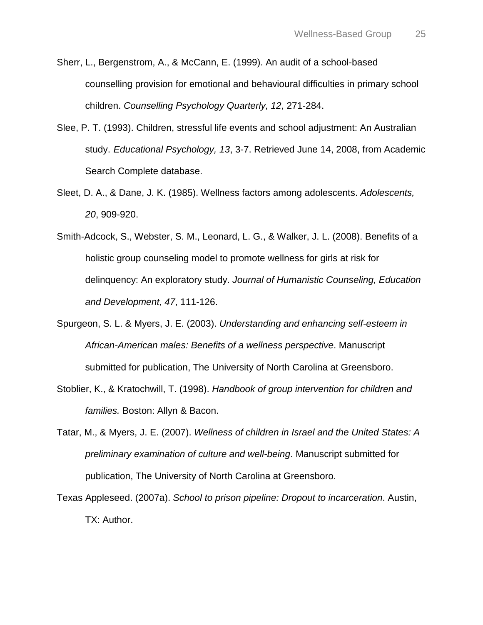- Sherr, L., Bergenstrom, A., & McCann, E. (1999). An audit of a school-based counselling provision for emotional and behavioural difficulties in primary school children. *Counselling Psychology Quarterly, 12*, 271-284.
- Slee, P. T. (1993). Children, stressful life events and school adjustment: An Australian study. *Educational Psychology, 13*, 3-7. Retrieved June 14, 2008, from Academic Search Complete database.
- Sleet, D. A., & Dane, J. K. (1985). Wellness factors among adolescents. *Adolescents, 20*, 909-920.
- Smith-Adcock, S., Webster, S. M., Leonard, L. G., & Walker, J. L. (2008). Benefits of a holistic group counseling model to promote wellness for girls at risk for delinquency: An exploratory study. *Journal of Humanistic Counseling, Education and Development, 47*, 111-126.
- Spurgeon, S. L. & Myers, J. E. (2003). *Understanding and enhancing self-esteem in African-American males: Benefits of a wellness perspective*. Manuscript submitted for publication, The University of North Carolina at Greensboro.
- Stoblier, K., & Kratochwill, T. (1998). *Handbook of group intervention for children and families.* Boston: Allyn & Bacon.
- Tatar, M., & Myers, J. E. (2007). *Wellness of children in Israel and the United States: A preliminary examination of culture and well-being*. Manuscript submitted for publication, The University of North Carolina at Greensboro.
- Texas Appleseed. (2007a). *School to prison pipeline: Dropout to incarceration*. Austin, TX: Author.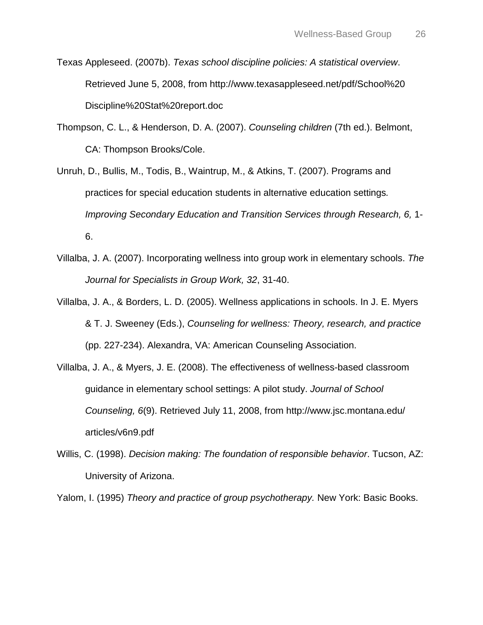- Texas Appleseed. (2007b). *Texas school discipline policies: A statistical overview*. Retrieved June 5, 2008, from http ://www.texasappleseed.net/pdf/School%20 Discipline%20Stat%20report.doc
- Thompson, C. L., & Henderson, D. A. (2007). *Counseling children* (7th ed.). Belmont, CA: Thompson Brooks/Cole.
- Unruh, D., Bullis, M., Todis, B., Waintrup, M., & Atkins, T. (2007). Programs and practices for special education students in alternative education settings*. Improving Secondary Education and Transition Services through Research, 6,* 1- 6.
- Villalba, J. A. (2007). Incorporating wellness into group work in elementary schools. *The Journal for Specialists in Group Work, 32*, 31-40.
- Villalba, J. A., & Borders, L. D. (2005). Wellness applications in schools. In J. E. Myers & T. J. Sweeney (Eds.), *Counseling for wellness: Theory, research, and practice*  (pp. 227-234). Alexandra, VA: American Counseling Association.
- Villalba, J. A., & Myers, J. E. (2008). The effectiveness of wellness-based classroom guidance in elementary school settings: A pilot study. *Journal of School Counseling, 6*(9). Retrieved July 11, 2008, from http ://www.jsc.montana.edu/ articles/v6n9.pdf
- Willis, C. (1998). *Decision making: The foundation of responsible behavior*. Tucson, AZ: University of Arizona.

Yalom, I. (1995) *Theory and practice of group psychotherapy.* New York: Basic Books.